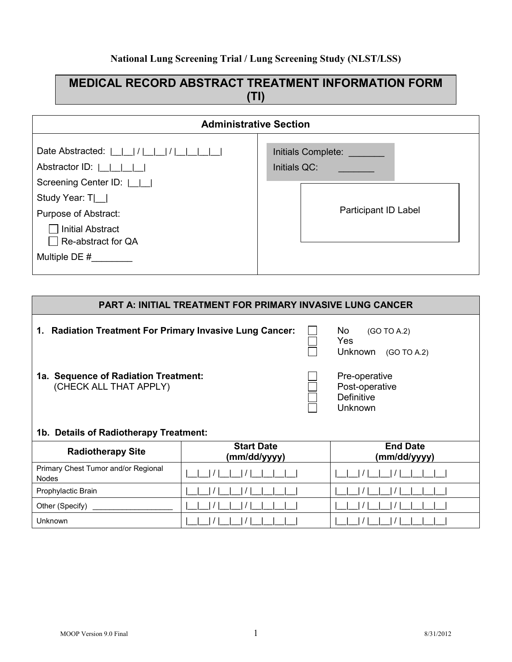#### **National Lung Screening Trial / Lung Screening Study (NLST/LSS)**

## **MEDICAL RECORD ABSTRACT TREATMENT INFORMATION FORM (TI)**

| <b>Administrative Section</b>                                                                                                                                                                                                        |                                                                   |  |  |  |  |  |
|--------------------------------------------------------------------------------------------------------------------------------------------------------------------------------------------------------------------------------------|-------------------------------------------------------------------|--|--|--|--|--|
| Date Abstracted:                                <br>Abstractor ID: $ $ $ $ $ $ $ $<br>Screening Center ID:    <br>Study Year: $T$ $\Box$<br>Purpose of Abstract:<br><b>Initial Abstract</b><br>Re-abstract for QA<br>Multiple DE $#$ | Initials Complete:<br>Initials QC:<br><b>Participant ID Label</b> |  |  |  |  |  |

# **PART A: INITIAL TREATMENT FOR PRIMARY INVASIVE LUNG CANCER 1. Radiation Treatment For Primary Invasive Lung Cancer:**  $\Box$  No (GO TO A.2)<br>
Nes and the second test of the second test of the second test of the second test of the second test of the second t Unknown (GO TO A.2) **1a. Sequence of Radiation Treatment:** Pre-operative CHECK ALL THAT APPLY) (CHECK ALL THAT APPLY) *Definitive*  $\Box$ Unknown and the control of the control of the Unknown and Unknown and Unknown and Unknown and Unknown and Unknown **1b. Details of Radiotherapy Treatment: Radiotherapy Site Start Date (mm/dd/yyyy) End Date (mm/dd/yyyy)** Primary Chest Tumor and/or Regional  $\frac{1}{2}$  Nodes the component of  $\frac{1}{2}$   $\frac{1}{2}$   $\frac{1}{2}$   $\frac{1}{2}$   $\frac{1}{2}$   $\frac{1}{2}$   $\frac{1}{2}$   $\frac{1}{2}$   $\frac{1}{2}$   $\frac{1}{2}$   $\frac{1}{2}$   $\frac{1}{2}$   $\frac{1}{2}$   $\frac{1}{2}$   $\frac{1}{2}$   $\frac{1}{2}$   $\frac{1}{2}$   $\frac{1}{2}$   $\frac{1}{2}$ Prophylactic Brain |\_\_|\_\_| / |\_\_|\_\_| / |\_\_|\_\_|\_\_|\_\_| |\_\_|\_\_| / |\_\_|\_\_| / |\_\_|\_\_|\_\_|\_\_| Other (Specify) \_\_\_\_\_\_\_\_\_\_\_\_\_\_\_\_\_\_\_ |\_\_|\_\_| / |\_\_|\_\_| / |\_\_|\_\_|\_\_|\_\_| |\_\_|\_\_| / |\_\_|\_\_| / |\_\_|\_\_|\_\_|\_\_| Unknown |\_\_|\_\_| / |\_\_|\_\_| / |\_\_|\_\_|\_\_|\_\_| |\_\_|\_\_| / |\_\_|\_\_| / |\_\_|\_\_|\_\_|\_\_|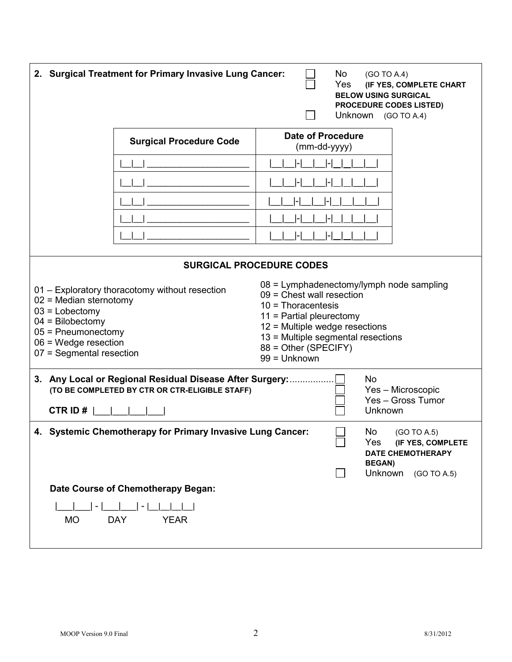| 2. Surgical Treatment for Primary Invasive Lung Cancer:<br>No<br>(GO TO A.4)<br>Yes<br>(IF YES, COMPLETE CHART<br><b>BELOW USING SURGICAL</b><br><b>PROCEDURE CODES LISTED)</b><br>Unknown (GO TO A.4)    |                                                                |                                                                                                                                                                                                                                                 |                                                                                                                      |  |
|-----------------------------------------------------------------------------------------------------------------------------------------------------------------------------------------------------------|----------------------------------------------------------------|-------------------------------------------------------------------------------------------------------------------------------------------------------------------------------------------------------------------------------------------------|----------------------------------------------------------------------------------------------------------------------|--|
|                                                                                                                                                                                                           | <b>Surgical Procedure Code</b>                                 | <b>Date of Procedure</b><br>(mm-dd-yyyy)                                                                                                                                                                                                        |                                                                                                                      |  |
|                                                                                                                                                                                                           |                                                                |                                                                                                                                                                                                                                                 |                                                                                                                      |  |
|                                                                                                                                                                                                           |                                                                |                                                                                                                                                                                                                                                 |                                                                                                                      |  |
|                                                                                                                                                                                                           |                                                                |                                                                                                                                                                                                                                                 |                                                                                                                      |  |
|                                                                                                                                                                                                           |                                                                |                                                                                                                                                                                                                                                 |                                                                                                                      |  |
|                                                                                                                                                                                                           |                                                                |                                                                                                                                                                                                                                                 |                                                                                                                      |  |
|                                                                                                                                                                                                           |                                                                | <b>SURGICAL PROCEDURE CODES</b>                                                                                                                                                                                                                 |                                                                                                                      |  |
| 01 - Exploratory thoracotomy without resection<br>$02$ = Median sternotomy<br>$03$ = Lobectomy<br>$04 = \text{Bilobectomy}$<br>$05$ = Pneumonectomy<br>$06$ = Wedge resection<br>07 = Segmental resection |                                                                | 08 = Lymphadenectomy/lymph node sampling<br>$09$ = Chest wall resection<br>$10 = Thoracentesis$<br>$11$ = Partial pleurectomy<br>$12$ = Multiple wedge resections<br>13 = Multiple segmental resections<br>88 = Other (SPECIFY)<br>99 = Unknown |                                                                                                                      |  |
| 3. Any Local or Regional Residual Disease After Surgery:<br>No<br>(TO BE COMPLETED BY CTR OR CTR-ELIGIBLE STAFF)<br>Yes - Microscopic<br>Yes - Gross Tumor<br>CTR ID#<br><b>Unknown</b>                   |                                                                |                                                                                                                                                                                                                                                 |                                                                                                                      |  |
| 4.                                                                                                                                                                                                        | <b>Systemic Chemotherapy for Primary Invasive Lung Cancer:</b> |                                                                                                                                                                                                                                                 | No<br>(GO TO A.5)<br>Yes<br>(IF YES, COMPLETE<br><b>DATE CHEMOTHERAPY</b><br><b>BEGAN)</b><br>Unknown<br>(GO TO A.5) |  |
|                                                                                                                                                                                                           | Date Course of Chemotherapy Began:                             |                                                                                                                                                                                                                                                 |                                                                                                                      |  |
| <b>DAY</b><br><b>YEAR</b><br><b>MO</b>                                                                                                                                                                    |                                                                |                                                                                                                                                                                                                                                 |                                                                                                                      |  |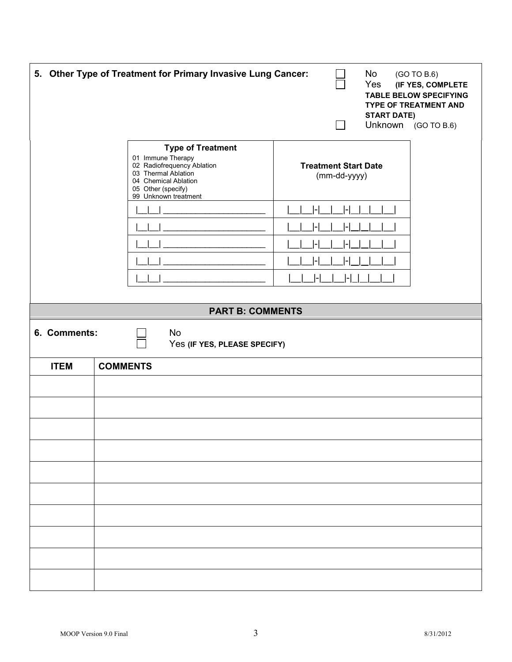|              | 5. Other Type of Treatment for Primary Invasive Lung Cancer:                                                                                                             | No<br>Yes<br><b>START DATE)</b>             | (GO TO B.6)<br>(IF YES, COMPLETE<br><b>TABLE BELOW SPECIFYING</b><br><b>TYPE OF TREATMENT AND</b><br>Unknown (GO TO B.6) |
|--------------|--------------------------------------------------------------------------------------------------------------------------------------------------------------------------|---------------------------------------------|--------------------------------------------------------------------------------------------------------------------------|
|              | <b>Type of Treatment</b><br>01 Immune Therapy<br>02 Radiofrequency Ablation<br>03 Thermal Ablation<br>04 Chemical Ablation<br>05 Other (specify)<br>99 Unknown treatment | <b>Treatment Start Date</b><br>(mm-dd-yyyy) |                                                                                                                          |
|              |                                                                                                                                                                          |                                             |                                                                                                                          |
|              |                                                                                                                                                                          |                                             |                                                                                                                          |
|              |                                                                                                                                                                          |                                             |                                                                                                                          |
|              |                                                                                                                                                                          |                                             |                                                                                                                          |
|              |                                                                                                                                                                          |                                             |                                                                                                                          |
|              | <b>PART B: COMMENTS</b>                                                                                                                                                  |                                             |                                                                                                                          |
| 6. Comments: | <b>No</b><br>Yes (IF YES, PLEASE SPECIFY)                                                                                                                                |                                             |                                                                                                                          |
| <b>ITEM</b>  | <b>COMMENTS</b>                                                                                                                                                          |                                             |                                                                                                                          |
|              |                                                                                                                                                                          |                                             |                                                                                                                          |
|              |                                                                                                                                                                          |                                             |                                                                                                                          |
|              |                                                                                                                                                                          |                                             |                                                                                                                          |
|              |                                                                                                                                                                          |                                             |                                                                                                                          |
|              |                                                                                                                                                                          |                                             |                                                                                                                          |
|              |                                                                                                                                                                          |                                             |                                                                                                                          |
|              |                                                                                                                                                                          |                                             |                                                                                                                          |
|              |                                                                                                                                                                          |                                             |                                                                                                                          |
|              |                                                                                                                                                                          |                                             |                                                                                                                          |
|              |                                                                                                                                                                          |                                             |                                                                                                                          |
|              |                                                                                                                                                                          |                                             |                                                                                                                          |